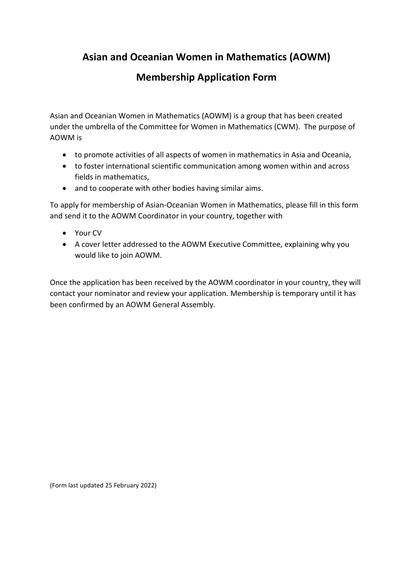# **Asian and Oceanian Women in Mathematics (AOWM)**

### **Membership Application Form**

Asian and Oceanian Women in Mathematics (AOWM) is a group that has been created under the umbrella of the Committee for Women in Mathematics (CWM). The purpose of AOWM is

- to promote activities of all aspects of women in mathematics in Asia and Oceania,
- to foster international scientific communication among women within and across fields in mathematics,
- and to cooperate with other bodies having similar aims.

To apply for membership of Asian-Oceanian Women in Mathematics, please fill in this form and send it to the AOWM Coordinator in your country, together with

- Your CV
- A cover letter addressed to the AOWM Executive Committee, explaining why you would like to join AOWM.

Once the application has been received by the AOWM coordinator in your country, they will contact your nominator and review your application. Membership is temporary until it has been confirmed by an AOWM General Assembly.

(Form last updated 25 February 2022)